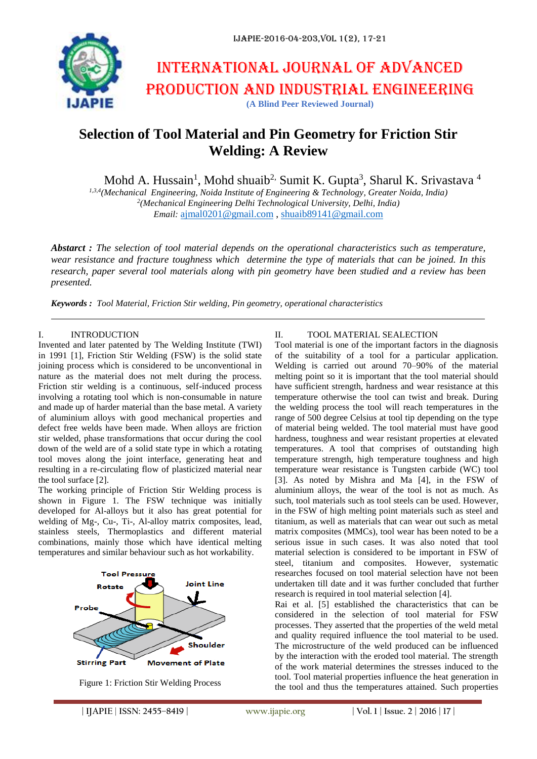# International journal of advanced production and industrial engineering **(A Blind Peer Reviewed Journal)**

# **Selection of Tool Material and Pin Geometry for Friction Stir Welding: A Review**

Mohd A. Hussain<sup>1</sup>, Mohd shuaib<sup>2,</sup> Sumit K. Gupta<sup>3</sup>, Sharul K. Srivastava<sup>4</sup>

*1,3,4(Mechanical Engineering, Noida Institute of Engineering & Technology, Greater Noida, India) 2 (Mechanical Engineering Delhi Technological University, Delhi, India) Email:* [ajmal0201@gmail.com](mailto:ajmal0201@gmail.com) , [shuaib89141@gmail.com](mailto:shuaib89141@gmail.com)

*Abstarct : The selection of tool material depends on the operational characteristics such as temperature, wear resistance and fracture toughness which determine the type of materials that can be joined. In this research, paper several tool materials along with pin geometry have been studied and a review has been presented.*

*Keywords : Tool Material, Friction Stir welding, Pin geometry, operational characteristics*

#### I. INTRODUCTION

Invented and later patented by The Welding Institute (TWI) in 1991 [1], Friction Stir Welding (FSW) is the solid state joining process which is considered to be unconventional in nature as the material does not melt during the process. Friction stir welding is a continuous, self-induced process involving a rotating tool which is non-consumable in nature and made up of harder material than the base metal. A variety of aluminium alloys with good mechanical properties and defect free welds have been made. When alloys are friction stir welded, phase transformations that occur during the cool down of the weld are of a solid state type in which a rotating tool moves along the joint interface, generating heat and resulting in a re-circulating flow of plasticized material near the tool surface [2].

The working principle of Friction Stir Welding process is shown in Figure 1. The FSW technique was initially developed for Al-alloys but it also has great potential for welding of Mg-, Cu-, Ti-, Al-alloy matrix composites, lead, stainless steels, Thermoplastics and different material combinations, mainly those which have identical melting temperatures and similar behaviour such as hot workability.





#### II. TOOL MATERIAL SEALECTION

Tool material is one of the important factors in the diagnosis of the suitability of a tool for a particular application. Welding is carried out around 70–90% of the material melting point so it is important that the tool material should have sufficient strength, hardness and wear resistance at this temperature otherwise the tool can twist and break. During the welding process the tool will reach temperatures in the range of 500 degree Celsius at tool tip depending on the type of material being welded. The tool material must have good hardness, toughness and wear resistant properties at elevated temperatures. A tool that comprises of outstanding high temperature strength, high temperature toughness and high temperature wear resistance is Tungsten carbide (WC) tool [3]. As noted by Mishra and Ma [4], in the FSW of aluminium alloys, the wear of the tool is not as much. As such, tool materials such as tool steels can be used. However, in the FSW of high melting point materials such as steel and titanium, as well as materials that can wear out such as metal matrix composites (MMCs), tool wear has been noted to be a serious issue in such cases. It was also noted that tool material selection is considered to be important in FSW of steel, titanium and composites. However, systematic researches focused on tool material selection have not been undertaken till date and it was further concluded that further research is required in tool material selection [4].

Rai et al. [5] established the characteristics that can be considered in the selection of tool material for FSW processes. They asserted that the properties of the weld metal and quality required influence the tool material to be used. The microstructure of the weld produced can be influenced by the interaction with the eroded tool material. The strength of the work material determines the stresses induced to the tool. Tool material properties influence the heat generation in the tool and thus the temperatures attained. Such properties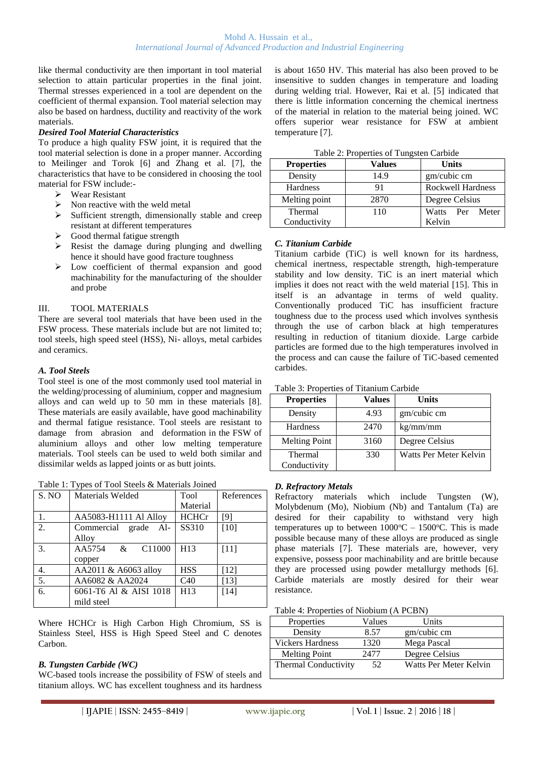like thermal conductivity are then important in tool material selection to attain particular properties in the final joint. Thermal stresses experienced in a tool are dependent on the coefficient of thermal expansion. Tool material selection may also be based on hardness, ductility and reactivity of the work materials.

# *Desired Tool Material Characteristics*

To produce a high quality FSW joint, it is required that the tool material selection is done in a proper manner. According to Meilinger and Torok [6] and Zhang et al. [7], the characteristics that have to be considered in choosing the tool material for FSW include:-

- Wear Resistant
- $\triangleright$  Non reactive with the weld metal
- $\triangleright$  Sufficient strength, dimensionally stable and creep resistant at different temperatures
- $\triangleright$  Good thermal fatigue strength
- Resist the damage during plunging and dwelling hence it should have good fracture toughness
- > Low coefficient of thermal expansion and good machinability for the manufacturing of the shoulder and probe

# III. TOOL MATERIALS

There are several tool materials that have been used in the FSW process. These materials include but are not limited to; tool steels, high speed steel (HSS), Ni- alloys, metal carbides and ceramics.

# *A. Tool Steels*

Tool steel is one of the most commonly used tool material in the welding/processing of aluminium, copper and magnesium alloys and can weld up to 50 mm in these materials [8]. These materials are easily available, have good machinability and thermal fatigue resistance. Tool steels are resistant to damage from abrasion and deformation in the FSW of aluminium alloys and other low melting temperature materials. Tool steels can be used to weld both similar and dissimilar welds as lapped joints or as butt joints.

|  |  | Table 1: Types of Tool Steels & Materials Joined |
|--|--|--------------------------------------------------|
|--|--|--------------------------------------------------|

| S. NO            | Materials Welded                         | Tool            | References |
|------------------|------------------------------------------|-----------------|------------|
|                  |                                          | Material        |            |
| 1.               | AA5083-H1111 Al Alloy                    | <b>HCHCr</b>    | [9]        |
| $\overline{2}$ . | Commercial grade Al-                     | SS310           | $[10]$     |
|                  | Alloy                                    |                 |            |
| 3.               | AA5754<br>C <sub>11000</sub><br>$\alpha$ | H <sub>13</sub> | $[11]$     |
|                  | copper                                   |                 |            |
| 4.               | AA2011 & A6063 alloy                     | <b>HSS</b>      | $[12]$     |
| $\overline{5}$ . | AA6082 & AA2024                          | C40             | $[13]$     |
| 6.               | 6061-T6 Al & AISI 1018                   | H <sub>13</sub> | [14]       |
|                  | mild steel                               |                 |            |

Where HCHCr is High Carbon High Chromium, SS is Stainless Steel, HSS is High Speed Steel and C denotes Carbon.

# *B. Tungsten Carbide (WC)*

WC-based tools increase the possibility of FSW of steels and titanium alloys. WC has excellent toughness and its hardness

is about 1650 HV. This material has also been proved to be insensitive to sudden changes in temperature and loading during welding trial. However, Rai et al. [5] indicated that there is little information concerning the chemical inertness of the material in relation to the material being joined. WC offers superior wear resistance for FSW at ambient temperature [7].

|  |  | Table 2: Properties of Tungsten Carbide |  |
|--|--|-----------------------------------------|--|
|  |  |                                         |  |

| <b>Properties</b> | Values | <b>Units</b>             |
|-------------------|--------|--------------------------|
| Density           | 14.9   | gm/cubic cm              |
| Hardness          | 91     | <b>Rockwell Hardness</b> |
| Melting point     | 2870   | Degree Celsius           |
| Thermal           | 110    | Watts<br>Per Meter       |
| Conductivity      |        | Kelvin                   |

# *C. Titanium Carbide*

Titanium carbide (TiC) is well known for its hardness, chemical inertness, respectable strength, high-temperature stability and low density. TiC is an inert material which implies it does not react with the weld material [15]. This in itself is an advantage in terms of weld quality. Conventionally produced TiC has insufficient fracture toughness due to the process used which involves synthesis through the use of carbon black at high temperatures resulting in reduction of titanium dioxide. Large carbide particles are formed due to the high temperatures involved in the process and can cause the failure of TiC-based cemented carbides.

|  |  | Table 3: Properties of Titanium Carbide |  |
|--|--|-----------------------------------------|--|
|--|--|-----------------------------------------|--|

| <b>Properties</b>              | Values | Units                  |
|--------------------------------|--------|------------------------|
| Density                        | 4.93   | gm/cubic cm            |
| <b>Hardness</b>                | 2470   | kg/mm/mm               |
| <b>Melting Point</b>           | 3160   | Degree Celsius         |
| <b>Thermal</b><br>Conductivity | 330    | Watts Per Meter Kelvin |

### *D. Refractory Metals*

Refractory materials which include Tungsten (W), Molybdenum (Mo), Niobium (Nb) and Tantalum (Ta) are desired for their capability to withstand very high temperatures up to between  $1000\degree C - 1500\degree C$ . This is made possible because many of these alloys are produced as single phase materials [7]. These materials are, however, very expensive, possess poor machinability and are brittle because they are processed using powder metallurgy methods [6]. Carbide materials are mostly desired for their wear resistance.

| Table 4: Properties of Niobium (A PCBN) |  |  |
|-----------------------------------------|--|--|
|-----------------------------------------|--|--|

| Properties                  | Values | Units                  |
|-----------------------------|--------|------------------------|
| Density                     | 8.57   | gm/cubic cm            |
| <b>Vickers Hardness</b>     | 1320   | Mega Pascal            |
| <b>Melting Point</b>        | 2477   | Degree Celsius         |
| <b>Thermal Conductivity</b> | 52     | Watts Per Meter Kelvin |
|                             |        |                        |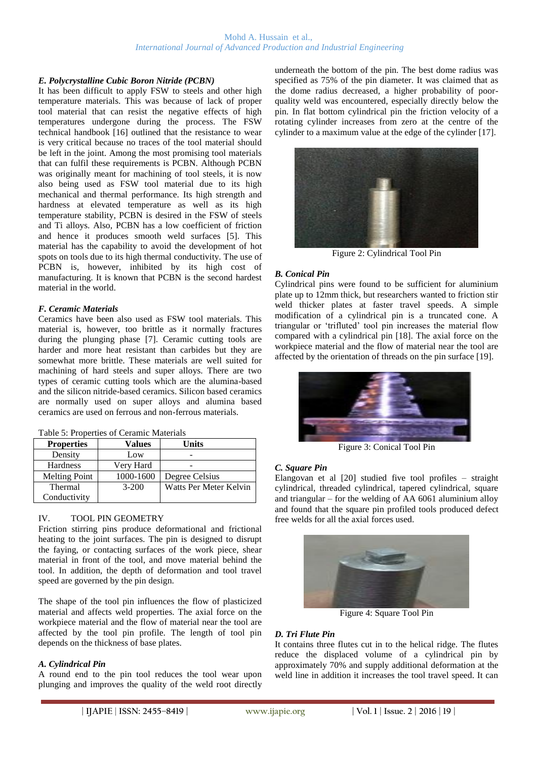### *E. Polycrystalline Cubic Boron Nitride (PCBN)*

It has been difficult to apply FSW to steels and other high temperature materials. This was because of lack of proper tool material that can resist the negative effects of high temperatures undergone during the process. The FSW technical handbook [16] outlined that the resistance to wear is very critical because no traces of the tool material should be left in the joint. Among the most promising tool materials that can fulfil these requirements is PCBN. Although PCBN was originally meant for machining of tool steels, it is now also being used as FSW tool material due to its high mechanical and thermal performance. Its high strength and hardness at elevated temperature as well as its high temperature stability, PCBN is desired in the FSW of steels and Ti alloys. Also, PCBN has a low coefficient of friction and hence it produces smooth weld surfaces [5]. This material has the capability to avoid the development of hot spots on tools due to its high thermal conductivity. The use of PCBN is, however, inhibited by its high cost of manufacturing. It is known that PCBN is the second hardest material in the world.

#### *F. Ceramic Materials*

Ceramics have been also used as FSW tool materials. This material is, however, too brittle as it normally fractures during the plunging phase [7]. Ceramic cutting tools are harder and more heat resistant than carbides but they are somewhat more brittle. These materials are well suited for machining of hard steels and super alloys. There are two types of ceramic cutting tools which are the alumina-based and the silicon nitride-based ceramics. Silicon based ceramics are normally used on super alloys and alumina based ceramics are used on ferrous and non-ferrous materials.

| Values    | Units                  |
|-----------|------------------------|
| Low       |                        |
| Very Hard |                        |
| 1000-1600 | Degree Celsius         |
| $3-200$   | Watts Per Meter Kelvin |
|           |                        |
|           |                        |

### IV. TOOL PIN GEOMETRY

Friction stirring pins produce deformational and frictional heating to the joint surfaces. The pin is designed to disrupt the faying, or contacting surfaces of the work piece, shear material in front of the tool, and move material behind the tool. In addition, the depth of deformation and tool travel speed are governed by the pin design.

The shape of the tool pin influences the flow of plasticized material and affects weld properties. The axial force on the workpiece material and the flow of material near the tool are affected by the tool pin profile. The length of tool pin depends on the thickness of base plates.

# *A. Cylindrical Pin*

A round end to the pin tool reduces the tool wear upon plunging and improves the quality of the weld root directly underneath the bottom of the pin. The best dome radius was specified as 75% of the pin diameter. It was claimed that as the dome radius decreased, a higher probability of poorquality weld was encountered, especially directly below the pin. In flat bottom cylindrical pin the friction velocity of a rotating cylinder increases from zero at the centre of the cylinder to a maximum value at the edge of the cylinder [17].



Figure 2: Cylindrical Tool Pin

#### *B. Conical Pin*

Cylindrical pins were found to be sufficient for aluminium plate up to 12mm thick, but researchers wanted to friction stir weld thicker plates at faster travel speeds. A simple modification of a cylindrical pin is a truncated cone. A triangular or 'trifluted' tool pin increases the material flow compared with a cylindrical pin [18]. The axial force on the workpiece material and the flow of material near the tool are affected by the orientation of threads on the pin surface [19].



Figure 3: Conical Tool Pin

#### *C. Square Pin*

Elangovan et al [20] studied five tool profiles – straight cylindrical, threaded cylindrical, tapered cylindrical, square and triangular – for the welding of AA 6061 aluminium alloy and found that the square pin profiled tools produced defect free welds for all the axial forces used.



Figure 4: Square Tool Pin

#### *D. Tri Flute Pin*

It contains three flutes cut in to the helical ridge. The flutes reduce the displaced volume of a cylindrical pin by approximately 70% and supply additional deformation at the weld line in addition it increases the tool travel speed. It can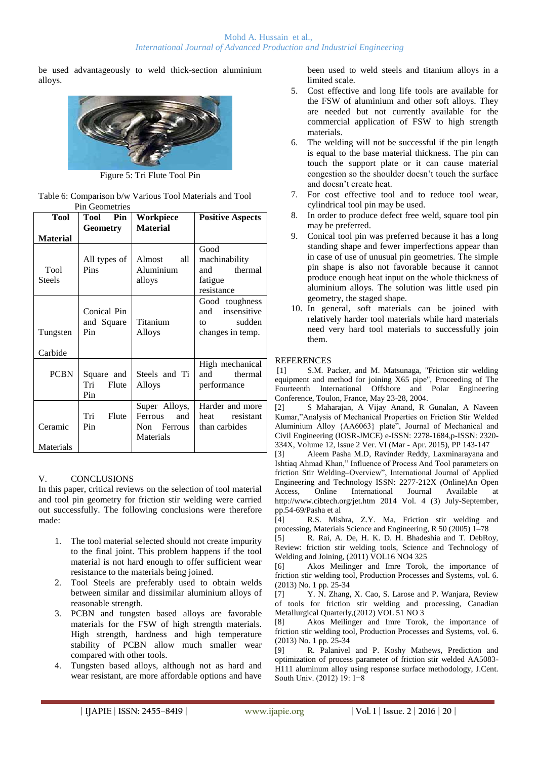be used advantageously to weld thick-section aluminium alloys.



Figure 5: Tri Flute Tool Pin

| Table 6: Comparison b/w Various Tool Materials and Tool |  |  |
|---------------------------------------------------------|--|--|
| <b>Pin Geometries</b>                                   |  |  |

| <b>Tool</b>           | <b>Tool</b><br>Pin                | Workpiece                                                   | <b>Positive Aspects</b>                                                  |
|-----------------------|-----------------------------------|-------------------------------------------------------------|--------------------------------------------------------------------------|
|                       | Geometry                          | <b>Material</b>                                             |                                                                          |
| <b>Material</b>       |                                   |                                                             |                                                                          |
| Tool<br><b>Steels</b> | All types of<br>Pins              | Almost<br>all<br>Aluminium<br>alloys                        | Good<br>machinability<br>thermal<br>and<br>fatigue<br>resistance         |
| Tungsten<br>Carbide   | Conical Pin<br>and Square<br>Pin  | Titanium<br>Alloys                                          | Good toughness<br>insensitive<br>and<br>sudden<br>tΩ<br>changes in temp. |
| <b>PCBN</b>           | Square and<br>Tri<br>Flute<br>Pin | Steels and Ti<br>Alloys                                     | High mechanical<br>thermal<br>and<br>performance                         |
| Ceramic<br>Materials  | Tri<br>Flute<br>Pin               | Super Alloys,<br>Ferrous<br>and<br>Non Ferrous<br>Materials | Harder and more<br>heat<br>resistant<br>than carbides                    |

# V. CONCLUSIONS

In this paper, critical reviews on the selection of tool material and tool pin geometry for friction stir welding were carried out successfully. The following conclusions were therefore made:

- 1. The tool material selected should not create impurity to the final joint. This problem happens if the tool material is not hard enough to offer sufficient wear resistance to the materials being joined.
- 2. Tool Steels are preferably used to obtain welds between similar and dissimilar aluminium alloys of reasonable strength.
- 3. PCBN and tungsten based alloys are favorable materials for the FSW of high strength materials. High strength, hardness and high temperature stability of PCBN allow much smaller wear compared with other tools.
- 4. Tungsten based alloys, although not as hard and wear resistant, are more affordable options and have

been used to weld steels and titanium alloys in a limited scale.

- 5. Cost effective and long life tools are available for the FSW of aluminium and other soft alloys. They are needed but not currently available for the commercial application of FSW to high strength materials.
- 6. The welding will not be successful if the pin length is equal to the base material thickness. The pin can touch the support plate or it can cause material congestion so the shoulder doesn't touch the surface and doesn't create heat.
- 7. For cost effective tool and to reduce tool wear, cylindrical tool pin may be used.
- 8. In order to produce defect free weld, square tool pin may be preferred.
- 9. Conical tool pin was preferred because it has a long standing shape and fewer imperfections appear than in case of use of unusual pin geometries. The simple pin shape is also not favorable because it cannot produce enough heat input on the whole thickness of aluminium alloys. The solution was little used pin geometry, the staged shape.
- 10. In general, soft materials can be joined with relatively harder tool materials while hard materials need very hard tool materials to successfully join them.

# REFERENCES

[1] S.M. Packer, and M. Matsunaga, "Friction stir welding equipment and method for joining X65 pipe", Proceeding of The Fourteenth International Offshore and Polar Engineering Conference, Toulon, France, May 23-28, 2004.

[2] S Maharajan, A Vijay Anand, R Gunalan, A Naveen Kumar,"Analysis of Mechanical Properties on Friction Stir Welded Aluminium Alloy {AA6063} plate", Journal of Mechanical and Civil Engineering (IOSR-JMCE) e-ISSN: 2278-1684,p-ISSN: 2320- 334X, Volume 12, Issue 2 Ver. VI (Mar - Apr. 2015), PP 143-147

[3] Aleem Pasha M.D, Ravinder Reddy, Laxminarayana and Ishtiaq Ahmad Khan," Influence of Process And Tool parameters on friction Stir Welding–Overview", International Journal of Applied Engineering and Technology ISSN: 2277-212X (Online)An Open Access, Online International Journal Available at http://www.cibtech.org/jet.htm 2014 Vol. 4 (3) July-September, pp.54-69/Pasha et al

[4] R.S. Mishra, Z.Y. Ma, Friction stir welding and processing, Materials Science and Engineering, R 50 (2005) 1–78

[5] R. Rai, A. De, H. K. D. H. Bhadeshia and T. DebRoy, Review: friction stir welding tools, Science and Technology of Welding and Joining, (2011) VOL16 NO4 325

[6] Akos Meilinger and Imre Torok, the importance of friction stir welding tool, Production Processes and Systems, vol. 6. (2013) No. 1 pp. 25-34

[7] Y. N. Zhang, X. Cao, S. Larose and P. Wanjara, Review of tools for friction stir welding and processing, Canadian Metallurgical Quarterly,(2012) VOL 51 NO 3

[8] Akos Meilinger and Imre Torok, the importance of friction stir welding tool, Production Processes and Systems, vol. 6. (2013) No. 1 pp. 25-34

[9] R. Palanivel and P. Koshy Mathews, Prediction and optimization of process parameter of friction stir welded AA5083- H111 aluminum alloy using response surface methodology, J.Cent. South Univ. (2012) 19: 1−8